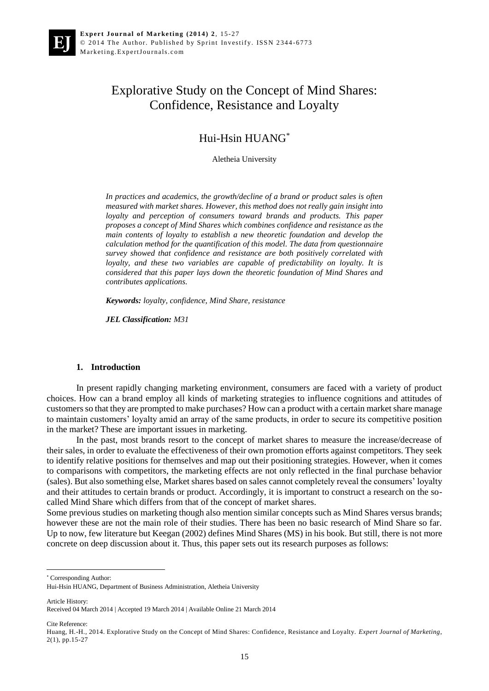

# Explorative Study on the Concept of Mind Shares: Confidence, Resistance and Loyalty

# Hui-Hsin HUANG\*

Aletheia University

*In practices and academics, the growth/decline of a brand or product sales is often measured with market shares. However, this method does not really gain insight into loyalty and perception of consumers toward brands and products. This paper proposes a concept of Mind Shares which combines confidence and resistance as the main contents of loyalty to establish a new theoretic foundation and develop the calculation method for the quantification of this model. The data from questionnaire survey showed that confidence and resistance are both positively correlated with*  loyalty, and these two variables are capable of predictability on loyalty. It is *considered that this paper lays down the theoretic foundation of Mind Shares and contributes applications.*

*Keywords: loyalty, confidence, Mind Share, resistance*

*JEL Classification: M31*

#### **1. Introduction**

In present rapidly changing marketing environment, consumers are faced with a variety of product choices. How can a brand employ all kinds of marketing strategies to influence cognitions and attitudes of customers so that they are prompted to make purchases? How can a product with a certain market share manage to maintain customers' loyalty amid an array of the same products, in order to secure its competitive position in the market? These are important issues in marketing.

In the past, most brands resort to the concept of market shares to measure the increase/decrease of their sales, in order to evaluate the effectiveness of their own promotion efforts against competitors. They seek to identify relative positions for themselves and map out their positioning strategies. However, when it comes to comparisons with competitors, the marketing effects are not only reflected in the final purchase behavior (sales). But also something else, Market shares based on sales cannot completely reveal the consumers' loyalty and their attitudes to certain brands or product. Accordingly, it is important to construct a research on the socalled Mind Share which differs from that of the concept of market shares.

Some previous studies on marketing though also mention similar concepts such as Mind Shares versus brands; however these are not the main role of their studies. There has been no basic research of Mind Share so far. Up to now, few literature but Keegan (2002) defines Mind Shares (MS) in his book. But still, there is not more concrete on deep discussion about it. Thus, this paper sets out its research purposes as follows:

\* Corresponding Author:

Article History:

 $\overline{a}$ 

Cite Reference:

Hui-Hsin HUANG, Department of Business Administration, Aletheia University

Received 04 March 2014 | Accepted 19 March 2014 | Available Online 21 March 2014

Huang, H.-H., 2014. Explorative Study on the Concept of Mind Shares: Confidence, Resistance and Loyalty. *Expert Journal of Marketing*, 2(1), pp.15-27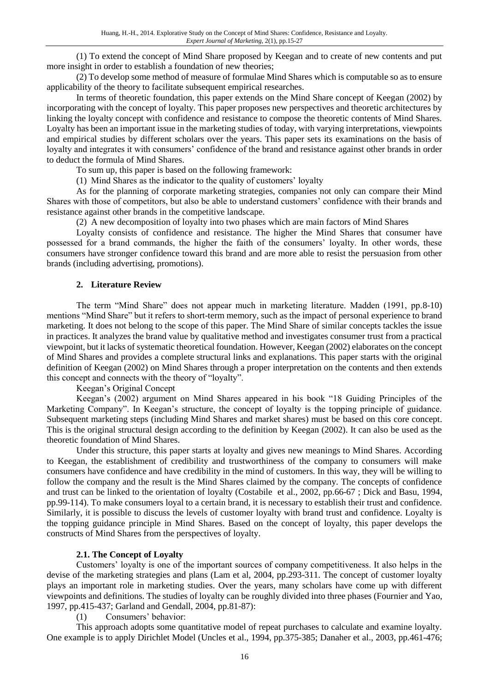(1) To extend the concept of Mind Share proposed by Keegan and to create of new contents and put more insight in order to establish a foundation of new theories;

(2) To develop some method of measure of formulae Mind Shares which is computable so as to ensure applicability of the theory to facilitate subsequent empirical researches.

In terms of theoretic foundation, this paper extends on the Mind Share concept of Keegan (2002) by incorporating with the concept of loyalty. This paper proposes new perspectives and theoretic architectures by linking the loyalty concept with confidence and resistance to compose the theoretic contents of Mind Shares. Loyalty has been an important issue in the marketing studies of today, with varying interpretations, viewpoints and empirical studies by different scholars over the years. This paper sets its examinations on the basis of loyalty and integrates it with consumers' confidence of the brand and resistance against other brands in order to deduct the formula of Mind Shares.

To sum up, this paper is based on the following framework:

(1) Mind Shares as the indicator to the quality of customers' loyalty

As for the planning of corporate marketing strategies, companies not only can compare their Mind Shares with those of competitors, but also be able to understand customers' confidence with their brands and resistance against other brands in the competitive landscape.

(2) A new decomposition of loyalty into two phases which are main factors of Mind Shares

Loyalty consists of confidence and resistance. The higher the Mind Shares that consumer have possessed for a brand commands, the higher the faith of the consumers' loyalty. In other words, these consumers have stronger confidence toward this brand and are more able to resist the persuasion from other brands (including advertising, promotions).

### **2. Literature Review**

The term "Mind Share" does not appear much in marketing literature. Madden (1991, pp.8-10) mentions "Mind Share" but it refers to short-term memory, such as the impact of personal experience to brand marketing. It does not belong to the scope of this paper. The Mind Share of similar concepts tackles the issue in practices. It analyzes the brand value by qualitative method and investigates consumer trust from a practical viewpoint, but it lacks of systematic theoretical foundation. However, Keegan (2002) elaborates on the concept of Mind Shares and provides a complete structural links and explanations. This paper starts with the original definition of Keegan (2002) on Mind Shares through a proper interpretation on the contents and then extends this concept and connects with the theory of "loyalty".

Keegan's Original Concept

Keegan's (2002) argument on Mind Shares appeared in his book "18 Guiding Principles of the Marketing Company". In Keegan's structure, the concept of loyalty is the topping principle of guidance. Subsequent marketing steps (including Mind Shares and market shares) must be based on this core concept. This is the original structural design according to the definition by Keegan (2002). It can also be used as the theoretic foundation of Mind Shares.

Under this structure, this paper starts at loyalty and gives new meanings to Mind Shares. According to Keegan, the establishment of credibility and trustworthiness of the company to consumers will make consumers have confidence and have credibility in the mind of customers. In this way, they will be willing to follow the company and the result is the Mind Shares claimed by the company. The concepts of confidence and trust can be linked to the orientation of loyalty (Costabile et al., 2002, pp.66-67 ; Dick and Basu, 1994, pp.99-114). To make consumers loyal to a certain brand, it is necessary to establish their trust and confidence. Similarly, it is possible to discuss the levels of customer loyalty with brand trust and confidence. Loyalty is the topping guidance principle in Mind Shares. Based on the concept of loyalty, this paper develops the constructs of Mind Shares from the perspectives of loyalty.

# **2.1. The Concept of Loyalty**

Customers' loyalty is one of the important sources of company competitiveness. It also helps in the devise of the marketing strategies and plans (Lam et al, 2004, pp.293-311. The concept of customer loyalty plays an important role in marketing studies. Over the years, many scholars have come up with different viewpoints and definitions. The studies of loyalty can be roughly divided into three phases (Fournier and Yao, 1997, pp.415-437; Garland and Gendall, 2004, pp.81-87):

(1) Consumers' behavior:

This approach adopts some quantitative model of repeat purchases to calculate and examine loyalty. One example is to apply Dirichlet Model (Uncles et al., 1994, pp.375-385; Danaher et al., 2003, pp.461-476;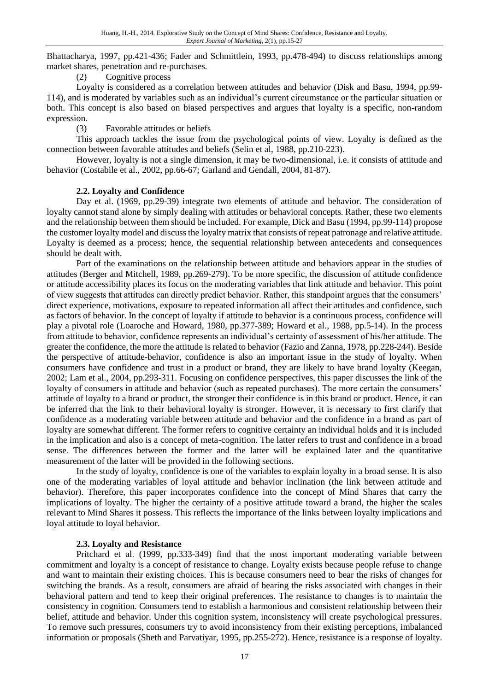Bhattacharya, 1997, pp.421-436; Fader and Schmittlein, 1993, pp.478-494) to discuss relationships among market shares, penetration and re-purchases.

(2) Cognitive process

Loyalty is considered as a correlation between attitudes and behavior (Disk and Basu, 1994, pp.99- 114), and is moderated by variables such as an individual's current circumstance or the particular situation or both. This concept is also based on biased perspectives and argues that loyalty is a specific, non-random expression.

(3) Favorable attitudes or beliefs

This approach tackles the issue from the psychological points of view. Loyalty is defined as the connection between favorable attitudes and beliefs (Selin et al, 1988, pp.210-223).

However, loyalty is not a single dimension, it may be two-dimensional, i.e. it consists of attitude and behavior (Costabile et al., 2002, pp.66-67; Garland and Gendall, 2004, 81-87).

# **2.2. Loyalty and Confidence**

Day et al. (1969, pp.29-39) integrate two elements of attitude and behavior. The consideration of loyalty cannot stand alone by simply dealing with attitudes or behavioral concepts. Rather, these two elements and the relationship between them should be included. For example, Dick and Basu (1994, pp.99-114) propose the customer loyalty model and discuss the loyalty matrix that consists of repeat patronage and relative attitude. Loyalty is deemed as a process; hence, the sequential relationship between antecedents and consequences should be dealt with.

Part of the examinations on the relationship between attitude and behaviors appear in the studies of attitudes (Berger and Mitchell, 1989, pp.269-279). To be more specific, the discussion of attitude confidence or attitude accessibility places its focus on the moderating variables that link attitude and behavior. This point of view suggests that attitudes can directly predict behavior. Rather, this standpoint argues that the consumers' direct experience, motivations, exposure to repeated information all affect their attitudes and confidence, such as factors of behavior. In the concept of loyalty if attitude to behavior is a continuous process, confidence will play a pivotal role (Loaroche and Howard, 1980, pp.377-389; Howard et al., 1988, pp.5-14). In the process from attitude to behavior, confidence represents an individual's certainty of assessment of his/her attitude. The greater the confidence, the more the attitude is related to behavior (Fazio and Zanna, 1978, pp.228-244). Beside the perspective of attitude-behavior, confidence is also an important issue in the study of loyalty. When consumers have confidence and trust in a product or brand, they are likely to have brand loyalty (Keegan, 2002; Lam et al., 2004, pp.293-311. Focusing on confidence perspectives, this paper discusses the link of the loyalty of consumers in attitude and behavior (such as repeated purchases). The more certain the consumers' attitude of loyalty to a brand or product, the stronger their confidence is in this brand or product. Hence, it can be inferred that the link to their behavioral loyalty is stronger. However, it is necessary to first clarify that confidence as a moderating variable between attitude and behavior and the confidence in a brand as part of loyalty are somewhat different. The former refers to cognitive certainty an individual holds and it is included in the implication and also is a concept of meta-cognition. The latter refers to trust and confidence in a broad sense. The differences between the former and the latter will be explained later and the quantitative measurement of the latter will be provided in the following sections.

In the study of loyalty, confidence is one of the variables to explain loyalty in a broad sense. It is also one of the moderating variables of loyal attitude and behavior inclination (the link between attitude and behavior). Therefore, this paper incorporates confidence into the concept of Mind Shares that carry the implications of loyalty. The higher the certainty of a positive attitude toward a brand, the higher the scales relevant to Mind Shares it possess. This reflects the importance of the links between loyalty implications and loyal attitude to loyal behavior.

# **2.3. Loyalty and Resistance**

Pritchard et al. (1999, pp.333-349) find that the most important moderating variable between commitment and loyalty is a concept of resistance to change. Loyalty exists because people refuse to change and want to maintain their existing choices. This is because consumers need to bear the risks of changes for switching the brands. As a result, consumers are afraid of bearing the risks associated with changes in their behavioral pattern and tend to keep their original preferences. The resistance to changes is to maintain the consistency in cognition. Consumers tend to establish a harmonious and consistent relationship between their belief, attitude and behavior. Under this cognition system, inconsistency will create psychological pressures. To remove such pressures, consumers try to avoid inconsistency from their existing perceptions, imbalanced information or proposals (Sheth and Parvatiyar, 1995, pp.255-272). Hence, resistance is a response of loyalty.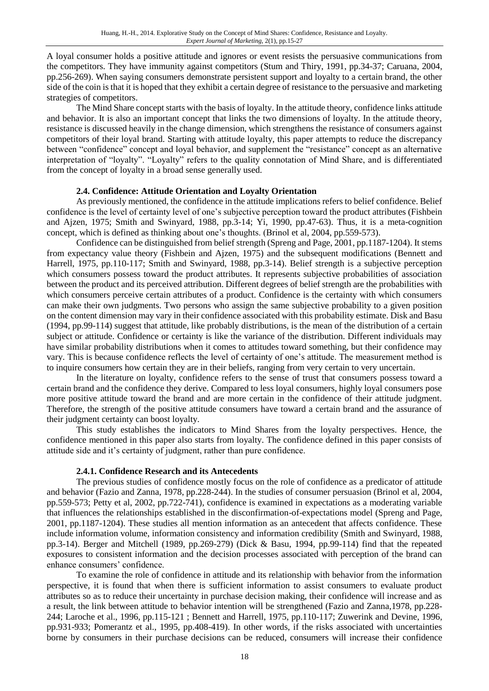A loyal consumer holds a positive attitude and ignores or event resists the persuasive communications from the competitors. They have immunity against competitors (Stum and Thiry, 1991, pp.34-37; Caruana, 2004, pp.256-269). When saying consumers demonstrate persistent support and loyalty to a certain brand, the other side of the coin is that it is hoped that they exhibit a certain degree of resistance to the persuasive and marketing strategies of competitors.

The Mind Share concept starts with the basis of loyalty. In the attitude theory, confidence links attitude and behavior. It is also an important concept that links the two dimensions of loyalty. In the attitude theory, resistance is discussed heavily in the change dimension, which strengthens the resistance of consumers against competitors of their loyal brand. Starting with attitude loyalty, this paper attempts to reduce the discrepancy between "confidence" concept and loyal behavior, and supplement the "resistance" concept as an alternative interpretation of "loyalty". "Loyalty" refers to the quality connotation of Mind Share, and is differentiated from the concept of loyalty in a broad sense generally used.

### **2.4. Confidence: Attitude Orientation and Loyalty Orientation**

As previously mentioned, the confidence in the attitude implications refers to belief confidence. Belief confidence is the level of certainty level of one's subjective perception toward the product attributes (Fishbein and Ajzen, 1975; Smith and Swinyard, 1988, pp.3-14; Yi, 1990, pp.47-63). Thus, it is a meta-cognition concept, which is defined as thinking about one's thoughts. (Brinol et al, 2004, pp.559-573).

Confidence can be distinguished from belief strength (Spreng and Page, 2001, pp.1187-1204). It stems from expectancy value theory (Fishbein and Ajzen, 1975) and the subsequent modifications (Bennett and Harrell, 1975, pp.110-117; Smith and Swinyard, 1988, pp.3-14). Belief strength is a subjective perception which consumers possess toward the product attributes. It represents subjective probabilities of association between the product and its perceived attribution. Different degrees of belief strength are the probabilities with which consumers perceive certain attributes of a product. Confidence is the certainty with which consumers can make their own judgments. Two persons who assign the same subjective probability to a given position on the content dimension may vary in their confidence associated with this probability estimate. Disk and Basu (1994, pp.99-114) suggest that attitude, like probably distributions, is the mean of the distribution of a certain subject or attitude. Confidence or certainty is like the variance of the distribution. Different individuals may have similar probability distributions when it comes to attitudes toward something, but their confidence may vary. This is because confidence reflects the level of certainty of one's attitude. The measurement method is to inquire consumers how certain they are in their beliefs, ranging from very certain to very uncertain.

In the literature on loyalty, confidence refers to the sense of trust that consumers possess toward a certain brand and the confidence they derive. Compared to less loyal consumers, highly loyal consumers pose more positive attitude toward the brand and are more certain in the confidence of their attitude judgment. Therefore, the strength of the positive attitude consumers have toward a certain brand and the assurance of their judgment certainty can boost loyalty.

This study establishes the indicators to Mind Shares from the loyalty perspectives. Hence, the confidence mentioned in this paper also starts from loyalty. The confidence defined in this paper consists of attitude side and it's certainty of judgment, rather than pure confidence.

# **2.4.1. Confidence Research and its Antecedents**

The previous studies of confidence mostly focus on the role of confidence as a predicator of attitude and behavior (Fazio and Zanna, 1978, pp.228-244). In the studies of consumer persuasion (Brinol et al, 2004, pp.559-573; Petty et al, 2002, pp.722-741), confidence is examined in expectations as a moderating variable that influences the relationships established in the disconfirmation-of-expectations model (Spreng and Page, 2001, pp.1187-1204). These studies all mention information as an antecedent that affects confidence. These include information volume, information consistency and information credibility (Smith and Swinyard, 1988, pp.3-14). Berger and Mitchell (1989, pp.269-279) (Dick & Basu, 1994, pp.99-114) find that the repeated exposures to consistent information and the decision processes associated with perception of the brand can enhance consumers' confidence.

To examine the role of confidence in attitude and its relationship with behavior from the information perspective, it is found that when there is sufficient information to assist consumers to evaluate product attributes so as to reduce their uncertainty in purchase decision making, their confidence will increase and as a result, the link between attitude to behavior intention will be strengthened (Fazio and Zanna,1978, pp.228- 244; Laroche et al., 1996, pp.115-121 ; Bennett and Harrell, 1975, pp.110-117; Zuwerink and Devine, 1996, pp.931-933; Pomerantz et al., 1995, pp.408-419). In other words, if the risks associated with uncertainties borne by consumers in their purchase decisions can be reduced, consumers will increase their confidence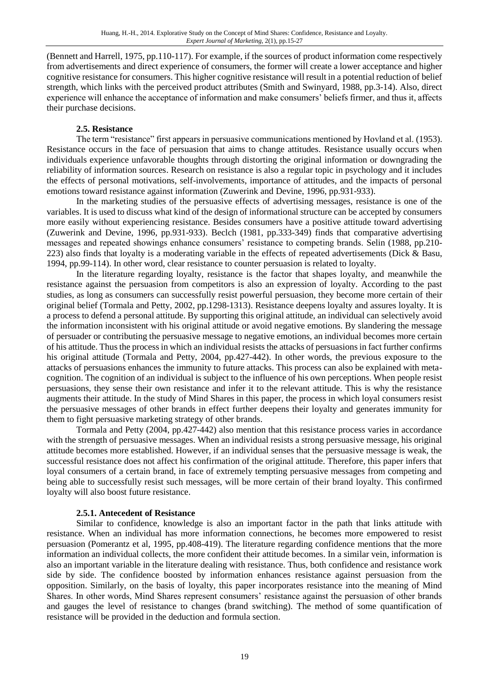(Bennett and Harrell, 1975, pp.110-117). For example, if the sources of product information come respectively from advertisements and direct experience of consumers, the former will create a lower acceptance and higher cognitive resistance for consumers. This higher cognitive resistance will result in a potential reduction of belief strength, which links with the perceived product attributes (Smith and Swinyard, 1988, pp.3-14). Also, direct experience will enhance the acceptance of information and make consumers' beliefs firmer, and thus it, affects their purchase decisions.

# **2.5. Resistance**

The term "resistance" first appears in persuasive communications mentioned by Hovland et al. (1953). Resistance occurs in the face of persuasion that aims to change attitudes. Resistance usually occurs when individuals experience unfavorable thoughts through distorting the original information or downgrading the reliability of information sources. Research on resistance is also a regular topic in psychology and it includes the effects of personal motivations, self-involvements, importance of attitudes, and the impacts of personal emotions toward resistance against information (Zuwerink and Devine, 1996, pp.931-933).

In the marketing studies of the persuasive effects of advertising messages, resistance is one of the variables. It is used to discuss what kind of the design of informational structure can be accepted by consumers more easily without experiencing resistance. Besides consumers have a positive attitude toward advertising (Zuwerink and Devine, 1996, pp.931-933). Beclch (1981, pp.333-349) finds that comparative advertising messages and repeated showings enhance consumers' resistance to competing brands. Selin (1988, pp.210- 223) also finds that loyalty is a moderating variable in the effects of repeated advertisements (Dick & Basu, 1994, pp.99-114). In other word, clear resistance to counter persuasion is related to loyalty.

In the literature regarding loyalty, resistance is the factor that shapes loyalty, and meanwhile the resistance against the persuasion from competitors is also an expression of loyalty. According to the past studies, as long as consumers can successfully resist powerful persuasion, they become more certain of their original belief (Tormala and Petty, 2002, pp.1298-1313). Resistance deepens loyalty and assures loyalty. It is a process to defend a personal attitude. By supporting this original attitude, an individual can selectively avoid the information inconsistent with his original attitude or avoid negative emotions. By slandering the message of persuader or contributing the persuasive message to negative emotions, an individual becomes more certain of his attitude. Thus the process in which an individual resists the attacks of persuasions in fact further confirms his original attitude (Tormala and Petty, 2004, pp.427-442). In other words, the previous exposure to the attacks of persuasions enhances the immunity to future attacks. This process can also be explained with metacognition. The cognition of an individual is subject to the influence of his own perceptions. When people resist persuasions, they sense their own resistance and infer it to the relevant attitude. This is why the resistance augments their attitude. In the study of Mind Shares in this paper, the process in which loyal consumers resist the persuasive messages of other brands in effect further deepens their loyalty and generates immunity for them to fight persuasive marketing strategy of other brands.

Tormala and Petty (2004, pp.427-442) also mention that this resistance process varies in accordance with the strength of persuasive messages. When an individual resists a strong persuasive message, his original attitude becomes more established. However, if an individual senses that the persuasive message is weak, the successful resistance does not affect his confirmation of the original attitude. Therefore, this paper infers that loyal consumers of a certain brand, in face of extremely tempting persuasive messages from competing and being able to successfully resist such messages, will be more certain of their brand loyalty. This confirmed loyalty will also boost future resistance.

# **2.5.1. Antecedent of Resistance**

Similar to confidence, knowledge is also an important factor in the path that links attitude with resistance. When an individual has more information connections, he becomes more empowered to resist persuasion (Pomerantz et al, 1995, pp.408-419). The literature regarding confidence mentions that the more information an individual collects, the more confident their attitude becomes. In a similar vein, information is also an important variable in the literature dealing with resistance. Thus, both confidence and resistance work side by side. The confidence boosted by information enhances resistance against persuasion from the opposition. Similarly, on the basis of loyalty, this paper incorporates resistance into the meaning of Mind Shares. In other words, Mind Shares represent consumers' resistance against the persuasion of other brands and gauges the level of resistance to changes (brand switching). The method of some quantification of resistance will be provided in the deduction and formula section.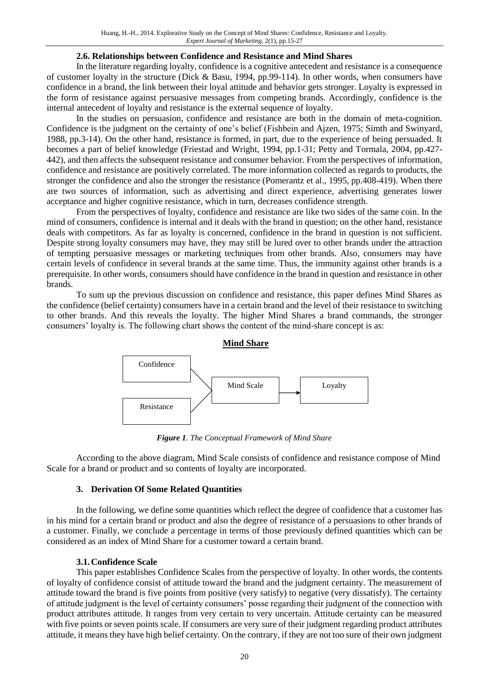### **2.6. Relationships between Confidence and Resistance and Mind Shares**

In the literature regarding loyalty, confidence is a cognitive antecedent and resistance is a consequence of customer loyalty in the structure (Dick & Basu, 1994, pp.99-114). In other words, when consumers have confidence in a brand, the link between their loyal attitude and behavior gets stronger. Loyalty is expressed in the form of resistance against persuasive messages from competing brands. Accordingly, confidence is the internal antecedent of loyalty and resistance is the external sequence of loyalty.

In the studies on persuasion, confidence and resistance are both in the domain of meta-cognition. Confidence is the judgment on the certainty of one's belief (Fishbein and Ajzen, 1975; Simth and Swinyard, 1988, pp.3-14). On the other hand, resistance is formed, in part, due to the experience of being persuaded. It becomes a part of belief knowledge (Friestad and Wright, 1994, pp.1-31; Petty and Tormala, 2004, pp.427- 442), and then affects the subsequent resistance and consumer behavior. From the perspectives of information, confidence and resistance are positively correlated. The more information collected as regards to products, the stronger the confidence and also the stronger the resistance (Pomerantz et al., 1995, pp.408-419). When there are two sources of information, such as advertising and direct experience, advertising generates lower acceptance and higher cognitive resistance, which in turn, decreases confidence strength.

From the perspectives of loyalty, confidence and resistance are like two sides of the same coin. In the mind of consumers, confidence is internal and it deals with the brand in question; on the other hand, resistance deals with competitors. As far as loyalty is concerned, confidence in the brand in question is not sufficient. Despite strong loyalty consumers may have, they may still be lured over to other brands under the attraction of tempting persuasive messages or marketing techniques from other brands. Also, consumers may have certain levels of confidence in several brands at the same time. Thus, the immunity against other brands is a prerequisite. In other words, consumers should have confidence in the brand in question and resistance in other brands.

To sum up the previous discussion on confidence and resistance, this paper defines Mind Shares as the confidence (belief certainty) consumers have in a certain brand and the level of their resistance to switching to other brands. And this reveals the loyalty. The higher Mind Shares a brand commands, the stronger consumers' loyalty is. The following chart shows the content of the mind-share concept is as:

### **Mind Share**



*Figure 1. The Conceptual Framework of Mind Share*

According to the above diagram, Mind Scale consists of confidence and resistance compose of Mind Scale for a brand or product and so contents of loyalty are incorporated.

# **3. Derivation Of Some Related Quantities**

In the following, we define some quantities which reflect the degree of confidence that a customer has in his mind for a certain brand or product and also the degree of resistance of a persuasions to other brands of a customer. Finally, we conclude a percentage in terms of those previously defined quantities which can be considered as an index of Mind Share for a customer toward a certain brand.

# **3.1.Confidence Scale**

This paper establishes Confidence Scales from the perspective of loyalty. In other words, the contents of loyalty of confidence consist of attitude toward the brand and the judgment certainty. The measurement of attitude toward the brand is five points from positive (very satisfy) to negative (very dissatisfy). The certainty of attitude judgment is the level of certainty consumers' posse regarding their judgment of the connection with product attributes attitude. It ranges from very certain to very uncertain. Attitude certainty can be measured with five points or seven points scale. If consumers are very sure of their judgment regarding product attributes attitude, it means they have high belief certainty. On the contrary, if they are not too sure of their own judgment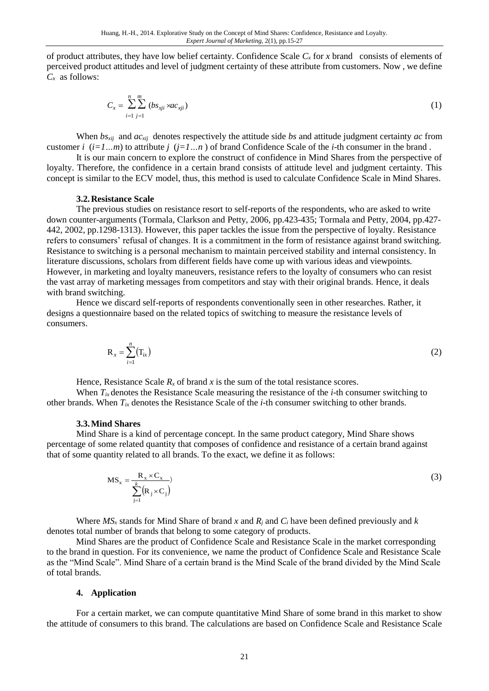of product attributes, they have low belief certainty. Confidence Scale  $C_x$  for  $x$  brand consists of elements of perceived product attitudes and level of judgment certainty of these attribute from customers. Now , we define *Cx* as follows:

$$
C_x = \sum_{i=1}^{n} \sum_{j=1}^{m} (bs_{xji} \times ac_{xji})
$$
 (1)

When *bsxij* and *acxij* denotes respectively the attitude side *bs* and attitude judgment certainty *ac* from customer *i*  $(i=1...m)$  to attribute *j*  $(i=1...n)$  of brand Confidence Scale of the *i*-th consumer in the brand.

It is our main concern to explore the construct of confidence in Mind Shares from the perspective of loyalty. Therefore, the confidence in a certain brand consists of attitude level and judgment certainty. This concept is similar to the ECV model, thus, this method is used to calculate Confidence Scale in Mind Shares.

#### **3.2.Resistance Scale**

The previous studies on resistance resort to self-reports of the respondents, who are asked to write down counter-arguments (Tormala, Clarkson and Petty, 2006, pp.423-435; Tormala and Petty, 2004, pp.427- 442, 2002, pp.1298-1313). However, this paper tackles the issue from the perspective of loyalty. Resistance refers to consumers' refusal of changes. It is a commitment in the form of resistance against brand switching. Resistance to switching is a personal mechanism to maintain perceived stability and internal consistency. In literature discussions, scholars from different fields have come up with various ideas and viewpoints. However, in marketing and loyalty maneuvers, resistance refers to the loyalty of consumers who can resist the vast array of marketing messages from competitors and stay with their original brands. Hence, it deals with brand switching.

Hence we discard self-reports of respondents conventionally seen in other researches. Rather, it designs a questionnaire based on the related topics of switching to measure the resistance levels of consumers.

$$
R_x = \sum_{i=1}^n (T_{ix})
$$
 (2)

Hence, Resistance Scale  $R<sub>x</sub>$  of brand *x* is the sum of the total resistance scores.

When  $T_{ix}$  denotes the Resistance Scale measuring the resistance of the *i*-th consumer switching to other brands. When *Tix* denotes the Resistance Scale of the *i*-th consumer switching to other brands.

#### **3.3.Mind Shares**

Mind Share is a kind of percentage concept. In the same product category, Mind Share shows percentage of some related quantity that composes of confidence and resistance of a certain brand against that of some quantity related to all brands. To the exact, we define it as follows:

$$
MS_x = \frac{R_x \times C_x}{\sum_{j=1}^k (R_j \times C_j)}
$$
(3)

Where  $MS_x$  stands for Mind Share of brand x and  $R_i$  and  $C_i$  have been defined previously and  $k$ denotes total number of brands that belong to some category of products.

Mind Shares are the product of Confidence Scale and Resistance Scale in the market corresponding to the brand in question. For its convenience, we name the product of Confidence Scale and Resistance Scale as the "Mind Scale". Mind Share of a certain brand is the Mind Scale of the brand divided by the Mind Scale of total brands.

#### **4. Application**

For a certain market, we can compute quantitative Mind Share of some brand in this market to show the attitude of consumers to this brand. The calculations are based on Confidence Scale and Resistance Scale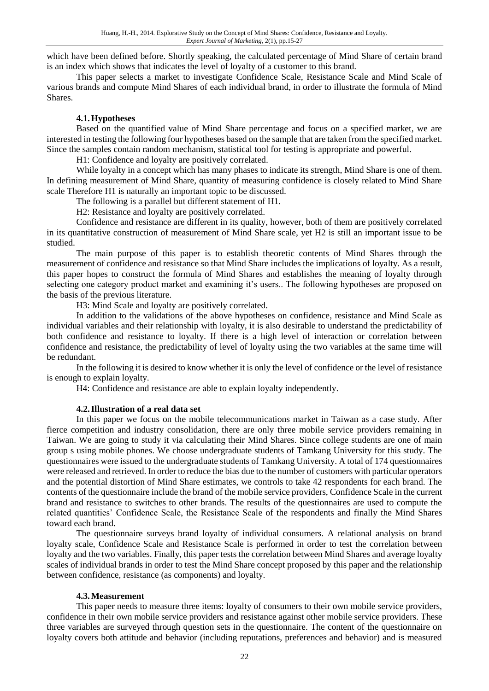which have been defined before. Shortly speaking, the calculated percentage of Mind Share of certain brand is an index which shows that indicates the level of loyalty of a customer to this brand.

This paper selects a market to investigate Confidence Scale, Resistance Scale and Mind Scale of various brands and compute Mind Shares of each individual brand, in order to illustrate the formula of Mind **Shares** 

### **4.1.Hypotheses**

Based on the quantified value of Mind Share percentage and focus on a specified market, we are interested in testing the following four hypotheses based on the sample that are taken from the specified market. Since the samples contain random mechanism, statistical tool for testing is appropriate and powerful.

H1: Confidence and loyalty are positively correlated.

While loyalty in a concept which has many phases to indicate its strength, Mind Share is one of them. In defining measurement of Mind Share, quantity of measuring confidence is closely related to Mind Share scale Therefore H1 is naturally an important topic to be discussed.

The following is a parallel but different statement of H1.

H2: Resistance and loyalty are positively correlated.

Confidence and resistance are different in its quality, however, both of them are positively correlated in its quantitative construction of measurement of Mind Share scale, yet H2 is still an important issue to be studied.

The main purpose of this paper is to establish theoretic contents of Mind Shares through the measurement of confidence and resistance so that Mind Share includes the implications of loyalty. As a result, this paper hopes to construct the formula of Mind Shares and establishes the meaning of loyalty through selecting one category product market and examining it's users.. The following hypotheses are proposed on the basis of the previous literature.

H3: Mind Scale and loyalty are positively correlated.

In addition to the validations of the above hypotheses on confidence, resistance and Mind Scale as individual variables and their relationship with loyalty, it is also desirable to understand the predictability of both confidence and resistance to loyalty. If there is a high level of interaction or correlation between confidence and resistance, the predictability of level of loyalty using the two variables at the same time will be redundant.

In the following it is desired to know whether it is only the level of confidence or the level of resistance is enough to explain loyalty.

H4: Confidence and resistance are able to explain loyalty independently.

# **4.2.Illustration of a real data set**

In this paper we focus on the mobile telecommunications market in Taiwan as a case study. After fierce competition and industry consolidation, there are only three mobile service providers remaining in Taiwan. We are going to study it via calculating their Mind Shares. Since college students are one of main group s using mobile phones. We choose undergraduate students of Tamkang University for this study. The questionnaires were issued to the undergraduate students of Tamkang University. A total of 174 questionnaires were released and retrieved. In order to reduce the bias due to the number of customers with particular operators and the potential distortion of Mind Share estimates, we controls to take 42 respondents for each brand. The contents of the questionnaire include the brand of the mobile service providers, Confidence Scale in the current brand and resistance to switches to other brands. The results of the questionnaires are used to compute the related quantities' Confidence Scale, the Resistance Scale of the respondents and finally the Mind Shares toward each brand.

The questionnaire surveys brand loyalty of individual consumers. A relational analysis on brand loyalty scale, Confidence Scale and Resistance Scale is performed in order to test the correlation between loyalty and the two variables. Finally, this paper tests the correlation between Mind Shares and average loyalty scales of individual brands in order to test the Mind Share concept proposed by this paper and the relationship between confidence, resistance (as components) and loyalty.

### **4.3.Measurement**

This paper needs to measure three items: loyalty of consumers to their own mobile service providers, confidence in their own mobile service providers and resistance against other mobile service providers. These three variables are surveyed through question sets in the questionnaire. The content of the questionnaire on loyalty covers both attitude and behavior (including reputations, preferences and behavior) and is measured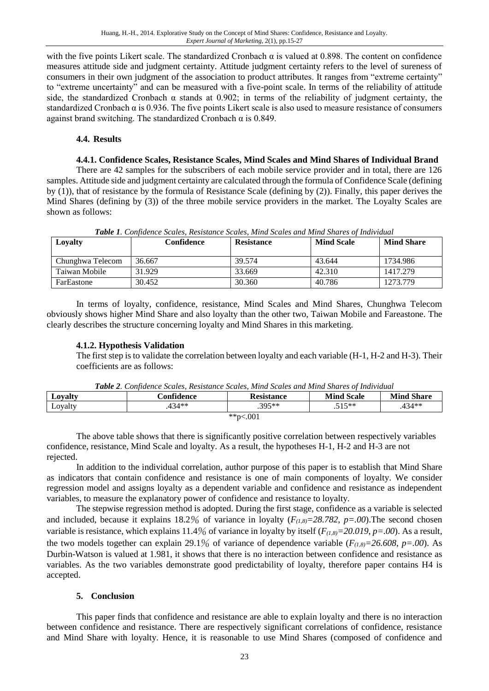with the five points Likert scale. The standardized Cronbach  $\alpha$  is valued at 0.898. The content on confidence measures attitude side and judgment certainty. Attitude judgment certainty refers to the level of sureness of consumers in their own judgment of the association to product attributes. It ranges from "extreme certainty" to "extreme uncertainty" and can be measured with a five-point scale. In terms of the reliability of attitude side, the standardized Cronbach  $\alpha$  stands at 0.902; in terms of the reliability of judgment certainty, the standardized Cronbach  $\alpha$  is 0.936. The five points Likert scale is also used to measure resistance of consumers against brand switching. The standardized Cronbach  $\alpha$  is 0.849.

### **4.4. Results**

### **4.4.1. Confidence Scales, Resistance Scales, Mind Scales and Mind Shares of Individual Brand**

There are 42 samples for the subscribers of each mobile service provider and in total, there are 126 samples. Attitude side and judgment certainty are calculated through the formula of Confidence Scale (defining by (1)), that of resistance by the formula of Resistance Scale (defining by (2)). Finally, this paper derives the Mind Shares (defining by (3)) of the three mobile service providers in the market. The Loyalty Scales are shown as follows:

| Loyalty          | Confidence | <b>Resistance</b> | <b>Mind Scale</b> | <b>Mind Share</b> |
|------------------|------------|-------------------|-------------------|-------------------|
| Chunghwa Telecom | 36.667     | 39.574            | 43.644            | 1734.986          |
| Taiwan Mobile    | 31.929     | 33.669            | 42.310            | 1417.279          |
| FarEastone       | 30.452     | 30.360            | 40.786            | 1273.779          |

*Table 1. Confidence Scales, Resistance Scales, Mind Scales and Mind Shares of Individual*

In terms of loyalty, confidence, resistance, Mind Scales and Mind Shares, Chunghwa Telecom obviously shows higher Mind Share and also loyalty than the other two, Taiwan Mobile and Fareastone. The clearly describes the structure concerning loyalty and Mind Shares in this marketing.

### **4.1.2. Hypothesis Validation**

The first step is to validate the correlation between loyalty and each variable (H-1, H-2 and H-3). Their coefficients are as follows:

| <b>Table 2.</b> Confidence Scales, Resistance Scales, Mind Scales and Mind Shares of Individual |            |                   |                   |                   |  |  |
|-------------------------------------------------------------------------------------------------|------------|-------------------|-------------------|-------------------|--|--|
| Lovalty                                                                                         | Confidence | <b>Resistance</b> | <b>Mind Scale</b> | <b>Mind Share</b> |  |  |
| Loyaltv                                                                                         | $.434**$   | $395**$           | $.515**$          | $.434**$          |  |  |
| **p<.001                                                                                        |            |                   |                   |                   |  |  |

*Table 2. Confidence Scales, Resistance Scales, Mind Scales and Mind Shares of Individual*

The above table shows that there is significantly positive correlation between respectively variables confidence, resistance, Mind Scale and loyalty. As a result, the hypotheses H-1, H-2 and H-3 are not rejected.

In addition to the individual correlation, author purpose of this paper is to establish that Mind Share as indicators that contain confidence and resistance is one of main components of loyalty. We consider regression model and assigns loyalty as a dependent variable and confidence and resistance as independent variables, to measure the explanatory power of confidence and resistance to loyalty.

The stepwise regression method is adopted. During the first stage, confidence as a variable is selected and included, because it explains  $18.2\%$  of variance in loyalty  $(F<sub>(1,8)</sub> = 28.782, p = .00)$ . The second chosen variable is resistance, which explains  $11.4\%$  of variance in loyalty by itself ( $F_{(1,8)} = 20.019$ ,  $p = .00$ ). As a result, the two models together can explain 29.1% of variance of dependence variable  $(F_{(1,8)}=26.608, p=.00)$ . As Durbin-Watson is valued at 1.981, it shows that there is no interaction between confidence and resistance as variables. As the two variables demonstrate good predictability of loyalty, therefore paper contains H4 is accepted.

### **5. Conclusion**

This paper finds that confidence and resistance are able to explain loyalty and there is no interaction between confidence and resistance. There are respectively significant correlations of confidence, resistance and Mind Share with loyalty. Hence, it is reasonable to use Mind Shares (composed of confidence and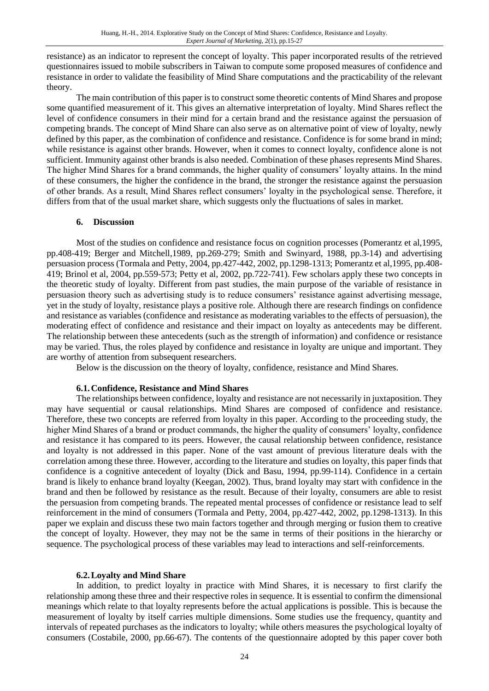resistance) as an indicator to represent the concept of loyalty. This paper incorporated results of the retrieved questionnaires issued to mobile subscribers in Taiwan to compute some proposed measures of confidence and resistance in order to validate the feasibility of Mind Share computations and the practicability of the relevant theory.

The main contribution of this paper is to construct some theoretic contents of Mind Shares and propose some quantified measurement of it. This gives an alternative interpretation of loyalty. Mind Shares reflect the level of confidence consumers in their mind for a certain brand and the resistance against the persuasion of competing brands. The concept of Mind Share can also serve as on alternative point of view of loyalty, newly defined by this paper, as the combination of confidence and resistance. Confidence is for some brand in mind; while resistance is against other brands. However, when it comes to connect loyalty, confidence alone is not sufficient. Immunity against other brands is also needed. Combination of these phases represents Mind Shares. The higher Mind Shares for a brand commands, the higher quality of consumers' loyalty attains. In the mind of these consumers, the higher the confidence in the brand, the stronger the resistance against the persuasion of other brands. As a result, Mind Shares reflect consumers' loyalty in the psychological sense. Therefore, it differs from that of the usual market share, which suggests only the fluctuations of sales in market.

### **6. Discussion**

Most of the studies on confidence and resistance focus on cognition processes (Pomerantz et al,1995, pp.408-419; Berger and Mitchell,1989, pp.269-279; Smith and Swinyard, 1988, pp.3-14) and advertising persuasion process (Tormala and Petty, 2004, pp.427-442, 2002, pp.1298-1313; Pomerantz et al,1995, pp.408- 419; Brinol et al, 2004, pp.559-573; Petty et al, 2002, pp.722-741). Few scholars apply these two concepts in the theoretic study of loyalty. Different from past studies, the main purpose of the variable of resistance in persuasion theory such as advertising study is to reduce consumers' resistance against advertising message, yet in the study of loyalty, resistance plays a positive role. Although there are research findings on confidence and resistance as variables (confidence and resistance as moderating variables to the effects of persuasion), the moderating effect of confidence and resistance and their impact on loyalty as antecedents may be different. The relationship between these antecedents (such as the strength of information) and confidence or resistance may be varied. Thus, the roles played by confidence and resistance in loyalty are unique and important. They are worthy of attention from subsequent researchers.

Below is the discussion on the theory of loyalty, confidence, resistance and Mind Shares.

# **6.1.Confidence, Resistance and Mind Shares**

The relationships between confidence, loyalty and resistance are not necessarily in juxtaposition. They may have sequential or causal relationships. Mind Shares are composed of confidence and resistance. Therefore, these two concepts are referred from loyalty in this paper. According to the proceeding study, the higher Mind Shares of a brand or product commands, the higher the quality of consumers' loyalty, confidence and resistance it has compared to its peers. However, the causal relationship between confidence, resistance and loyalty is not addressed in this paper. None of the vast amount of previous literature deals with the correlation among these three. However, according to the literature and studies on loyalty, this paper finds that confidence is a cognitive antecedent of loyalty (Dick and Basu, 1994, pp.99-114). Confidence in a certain brand is likely to enhance brand loyalty (Keegan, 2002). Thus, brand loyalty may start with confidence in the brand and then be followed by resistance as the result. Because of their loyalty, consumers are able to resist the persuasion from competing brands. The repeated mental processes of confidence or resistance lead to self reinforcement in the mind of consumers (Tormala and Petty, 2004, pp.427-442, 2002, pp.1298-1313). In this paper we explain and discuss these two main factors together and through merging or fusion them to creative the concept of loyalty. However, they may not be the same in terms of their positions in the hierarchy or sequence. The psychological process of these variables may lead to interactions and self-reinforcements.

### **6.2.Loyalty and Mind Share**

In addition, to predict loyalty in practice with Mind Shares, it is necessary to first clarify the relationship among these three and their respective roles in sequence. It is essential to confirm the dimensional meanings which relate to that loyalty represents before the actual applications is possible. This is because the measurement of loyalty by itself carries multiple dimensions. Some studies use the frequency, quantity and intervals of repeated purchases as the indicators to loyalty; while others measures the psychological loyalty of consumers (Costabile, 2000, pp.66-67). The contents of the questionnaire adopted by this paper cover both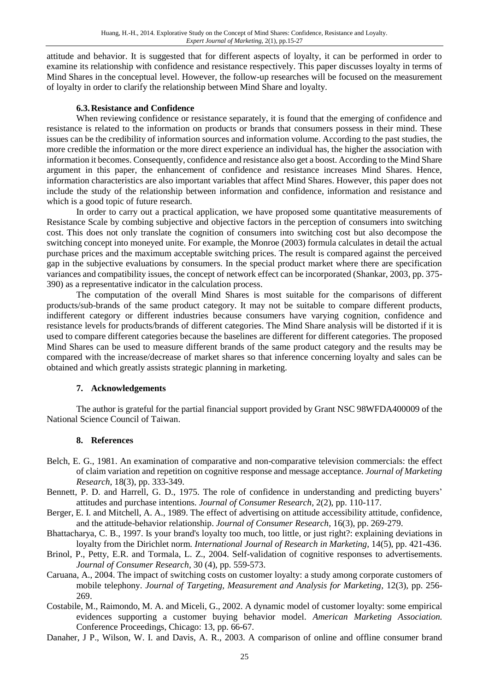attitude and behavior. It is suggested that for different aspects of loyalty, it can be performed in order to examine its relationship with confidence and resistance respectively. This paper discusses loyalty in terms of Mind Shares in the conceptual level. However, the follow-up researches will be focused on the measurement of loyalty in order to clarify the relationship between Mind Share and loyalty.

### **6.3.Resistance and Confidence**

When reviewing confidence or resistance separately, it is found that the emerging of confidence and resistance is related to the information on products or brands that consumers possess in their mind. These issues can be the credibility of information sources and information volume. According to the past studies, the more credible the information or the more direct experience an individual has, the higher the association with information it becomes. Consequently, confidence and resistance also get a boost. According to the Mind Share argument in this paper, the enhancement of confidence and resistance increases Mind Shares. Hence, information characteristics are also important variables that affect Mind Shares. However, this paper does not include the study of the relationship between information and confidence, information and resistance and which is a good topic of future research.

In order to carry out a practical application, we have proposed some quantitative measurements of Resistance Scale by combing subjective and objective factors in the perception of consumers into switching cost. This does not only translate the cognition of consumers into switching cost but also decompose the switching concept into moneyed unite. For example, the Monroe (2003) formula calculates in detail the actual purchase prices and the maximum acceptable switching prices. The result is compared against the perceived gap in the subjective evaluations by consumers. In the special product market where there are specification variances and compatibility issues, the concept of network effect can be incorporated (Shankar, 2003, pp. 375- 390) as a representative indicator in the calculation process.

The computation of the overall Mind Shares is most suitable for the comparisons of different products/sub-brands of the same product category. It may not be suitable to compare different products, indifferent category or different industries because consumers have varying cognition, confidence and resistance levels for products/brands of different categories. The Mind Share analysis will be distorted if it is used to compare different categories because the baselines are different for different categories. The proposed Mind Shares can be used to measure different brands of the same product category and the results may be compared with the increase/decrease of market shares so that inference concerning loyalty and sales can be obtained and which greatly assists strategic planning in marketing.

### **7. Acknowledgements**

The author is grateful for the partial financial support provided by Grant NSC 98WFDA400009 of the National Science Council of Taiwan.

### **8. References**

- Belch, E. G., 1981. An examination of comparative and non-comparative television commercials: the effect of claim variation and repetition on cognitive response and message acceptance. *Journal of Marketing Research,* 18(3), pp. 333-349.
- Bennett, P. D. and Harrell, G. D., 1975. The role of confidence in understanding and predicting buyers' attitudes and purchase intentions. *Journal of Consumer Research,* 2(2), pp. 110-117.
- Berger, E. I. and Mitchell, A. A., 1989. The effect of advertising on attitude accessibility attitude, confidence, and the attitude-behavior relationship. *Journal of Consumer Research,* 16(3), pp. 269-279.
- Bhattacharya, C. B., 1997. Is your brand's loyalty too much, too little, or just right?: explaining deviations in loyalty from the Dirichlet norm. *International Journal of Research in Marketing,* 14(5), pp. 421-436.
- Brinol, P., Petty, E.R. and Tormala, L. Z., 2004. Self-validation of cognitive responses to advertisements. *Journal of Consumer Research,* 30 (4), pp. 559-573.
- Caruana, A., 2004. The impact of switching costs on customer loyalty: a study among corporate customers of mobile telephony. *Journal of Targeting, Measurement and Analysis for Marketing,* 12(3), pp. 256- 269.
- Costabile, M., Raimondo, M. A. and Miceli, G., 2002. A dynamic model of customer loyalty: some empirical evidences supporting a customer buying behavior model. *American Marketing Association.* Conference Proceedings, Chicago: 13, pp. 66-67.
- Danaher, J P., Wilson, W. I. and Davis, A. R., 2003. A comparison of online and offline consumer brand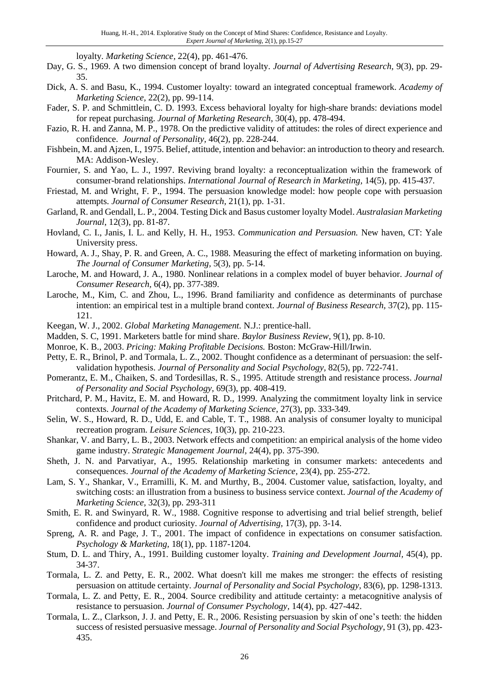loyalty. *Marketing Science,* 22(4), pp. 461-476.

- Day, G. S., 1969. A two dimension concept of brand loyalty. *Journal of Advertising Research,* 9(3), pp. 29- 35.
- Dick, A. S. and Basu, K., 1994. Customer loyalty: toward an integrated conceptual framework. *Academy of Marketing Science,* 22(2), pp. 99-114.
- Fader, S. P. and Schmittlein, C. D. 1993. Excess behavioral loyalty for high-share brands: deviations model for repeat purchasing. *Journal of Marketing Research,* 30(4), pp. 478-494.
- Fazio, R. H. and Zanna, M. P., 1978. On the predictive validity of attitudes: the roles of direct experience and confidence. *Journal of Personality,* 46(2), pp. 228-244.
- Fishbein, M. and Ajzen, I., 1975. Belief, attitude, intention and behavior: an introduction to theory and research. MA: Addison-Wesley.
- Fournier, S. and Yao, L. J., 1997. Reviving brand loyalty: a reconceptualization within the framework of consumer-brand relationships. *International Journal of Research in Marketing,* 14(5), pp. 415-437.
- Friestad, M. and Wright, F. P., 1994. The persuasion knowledge model: how people cope with persuasion attempts. *Journal of Consumer Research,* 21(1), pp. 1-31.
- Garland, R. and Gendall, L. P., 2004. Testing Dick and Basus customer loyalty Model. *Australasian Marketing Journal*, 12(3), pp. 81-87.
- Hovland, C. I., Janis, I. L. and Kelly, H. H., 1953. *Communication and Persuasion.* New haven, CT: Yale University press.
- Howard, A. J., Shay, P. R. and Green, A. C., 1988. Measuring the effect of marketing information on buying. *The Journal of Consumer Marketing,* 5(3), pp. 5-14.
- Laroche, M. and Howard, J. A., 1980. Nonlinear relations in a complex model of buyer behavior. *Journal of Consumer Research,* 6(4), pp. 377-389.
- Laroche, M., Kim, C. and Zhou, L., 1996. Brand familiarity and confidence as determinants of purchase intention: an empirical test in a multiple brand context. *Journal of Business Research,* 37(2), pp. 115- 121.
- Keegan, W. J., 2002. *Global Marketing Management.* N.J.: prentice-hall.
- Madden, S. C, 1991. Marketers battle for mind share. *Baylor Business Review*, 9(1), pp. 8-10.
- Monroe, K. B., 2003. *Pricing: Making Profitable Decisions.* Boston: McGraw-Hill/Irwin.
- Petty, E. R., Brinol, P. and Tormala, L. Z., 2002. Thought confidence as a determinant of persuasion: the selfvalidation hypothesis. *Journal of Personality and Social Psychology,* 82(5), pp. 722-741.
- Pomerantz, E. M., Chaiken, S. and Tordesillas, R. S., 1995. Attitude strength and resistance process. *Journal of Personality and Social Psychology,* 69(3), pp. 408-419.
- Pritchard, P. M., Havitz, E. M. and Howard, R. D., 1999. Analyzing the commitment loyalty link in service contexts. *Journal of the Academy of Marketing Science,* 27(3), pp. 333-349.
- Selin, W. S., Howard, R. D., Udd, E. and Cable, T. T., 1988. An analysis of consumer loyalty to municipal recreation program. *Leisure Sciences,* 10(3), pp. 210-223.
- Shankar, V. and Barry, L. B., 2003. Network effects and competition: an empirical analysis of the home video game industry. *Strategic Management Journal,* 24(4), pp. 375-390.
- Sheth, J. N. and Parvatiyar, A., 1995. Relationship marketing in consumer markets: antecedents and consequences. *Journal of the Academy of Marketing Science,* 23(4), pp. 255-272.
- Lam, S. Y., Shankar, V., Erramilli, K. M. and Murthy, B., 2004. Customer value, satisfaction, loyalty, and switching costs: an illustration from a business to business service context. *Journal of the Academy of Marketing Science,* 32(3), pp. 293-311
- Smith, E. R. and Swinyard, R. W., 1988. Cognitive response to advertising and trial belief strength, belief confidence and product curiosity. *Journal of Advertising,* 17(3), pp. 3-14.
- Spreng, A. R. and Page, J. T., 2001. The impact of confidence in expectations on consumer satisfaction. *Psychology & Marketing,* 18(1), pp. 1187-1204.
- Stum, D. L. and Thiry, A., 1991. Building customer loyalty. *Training and Development Journal,* 45(4), pp. 34-37.
- Tormala, L. Z. and Petty, E. R., 2002. What doesn't kill me makes me stronger: the effects of resisting persuasion on attitude certainty. *Journal of Personality and Social Psychology,* 83(6), pp. 1298-1313.
- Tormala, L. Z. and Petty, E. R., 2004. Source credibility and attitude certainty: a metacognitive analysis of resistance to persuasion. *Journal of Consumer Psychology,* 14(4), pp. 427-442.
- Tormala, L. Z., Clarkson, J. J. and Petty, E. R., 2006. Resisting persuasion by skin of one's teeth: the hidden success of resisted persuasive message. *Journal of Personality and Social Psychology*, 91 (3), pp. 423- 435.